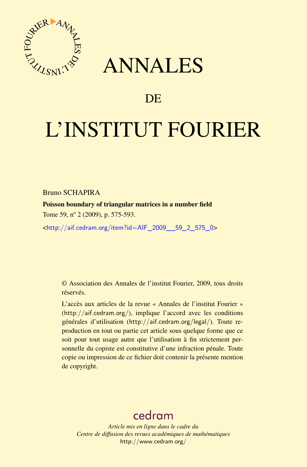

## ANNALES

## **DE**

# L'INSTITUT FOURIER

Bruno SCHAPIRA

Poisson boundary of triangular matrices in a number field Tome 59, nº 2 (2009), p. 575-593.

<[http://aif.cedram.org/item?id=AIF\\_2009\\_\\_59\\_2\\_575\\_0](http://aif.cedram.org/item?id=AIF_2009__59_2_575_0)>

© Association des Annales de l'institut Fourier, 2009, tous droits réservés.

L'accès aux articles de la revue « Annales de l'institut Fourier » (<http://aif.cedram.org/>), implique l'accord avec les conditions générales d'utilisation (<http://aif.cedram.org/legal/>). Toute reproduction en tout ou partie cet article sous quelque forme que ce soit pour tout usage autre que l'utilisation à fin strictement personnelle du copiste est constitutive d'une infraction pénale. Toute copie ou impression de ce fichier doit contenir la présente mention de copyright.

## [cedram](http://www.cedram.org/)

*Article mis en ligne dans le cadre du Centre de diffusion des revues académiques de mathématiques* <http://www.cedram.org/>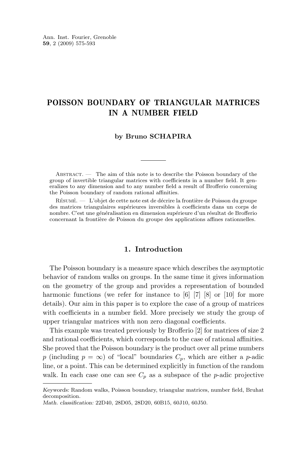### POISSON BOUNDARY OF TRIANGULAR MATRICES IN A NUMBER FIELD

#### **by Bruno SCHAPIRA**

ABSTRACT. — The aim of this note is to describe the Poisson boundary of the group of invertible triangular matrices with coefficients in a number field. It generalizes to any dimension and to any number field a result of Brofferio concerning the Poisson boundary of random rational affinities.

Résumé. — L'objet de cette note est de décrire la frontière de Poisson du groupe des matrices triangulaires supérieures inversibles à coefficients dans un corps de nombre. C'est une généralisation en dimension supérieure d'un résultat de Brofferio concernant la frontière de Poisson du groupe des applications affines rationnelles.

#### **1. Introduction**

The Poisson boundary is a measure space which describes the asymptotic behavior of random walks on groups. In the same time it gives information on the geometry of the group and provides a representation of bounded harmonic functions (we refer for instance to [\[6\]](#page-18-0) [\[7\]](#page-18-0) [\[8\]](#page-19-0) or [\[10\]](#page-19-0) for more details). Our aim in this paper is to explore the case of a group of matrices with coefficients in a number field. More precisely we study the group of upper triangular matrices with non zero diagonal coefficients.

This example was treated previously by Brofferio [\[2\]](#page-18-0) for matrices of size 2 and rational coefficients, which corresponds to the case of rational affinities. She proved that the Poisson boundary is the product over all prime numbers p (including  $p = \infty$ ) of "local" boundaries  $C_p$ , which are either a p-adic line, or a point. This can be determined explicitly in function of the random walk. In each case one can see  $C_p$  as a subspace of the *p*-adic projective

*Keywords:* Random walks, Poisson boundary, triangular matrices, number field, Bruhat decomposition.

*Math. classification:* 22D40, 28D05, 28D20, 60B15, 60J10, 60J50.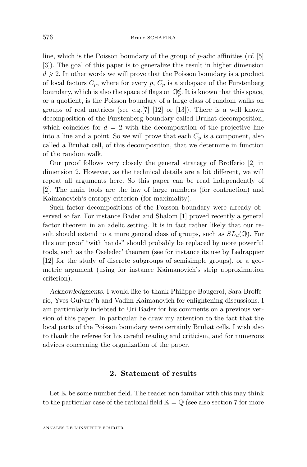line, which is the Poisson boundary of the group of p-adic affinities (*cf.* [\[5\]](#page-18-0) [\[3\]](#page-18-0)). The goal of this paper is to generalize this result in higher dimension  $d \geq 2$ . In other words we will prove that the Poisson boundary is a product of local factors  $C_p$ , where for every p,  $C_p$  is a subspace of the Furstenberg boundary, which is also the space of flags on  $\mathbb{Q}_p^d$ . It is known that this space, or a quotient, is the Poisson boundary of a large class of random walks on groups of real matrices (see *e.g.*[\[7\]](#page-18-0) [\[12\]](#page-19-0) or [\[13\]](#page-19-0)). There is a well known decomposition of the Furstenberg boundary called Bruhat decomposition, which coincides for  $d = 2$  with the decomposition of the projective line into a line and a point. So we will prove that each  $C_p$  is a component, also called a Bruhat cell, of this decomposition, that we determine in function of the random walk.

Our proof follows very closely the general strategy of Brofferio [\[2\]](#page-18-0) in dimension 2. However, as the technical details are a bit different, we will repeat all arguments here. So this paper can be read independently of [\[2\]](#page-18-0). The main tools are the law of large numbers (for contraction) and Kaimanovich's entropy criterion (for maximality).

Such factor decompositions of the Poisson boundary were already observed so far. For instance Bader and Shalom [\[1\]](#page-18-0) proved recently a general factor theorem in an adelic setting. It is in fact rather likely that our result should extend to a more general class of groups, such as  $SL_d(\mathbb{Q})$ . For this our proof "with hands" should probably be replaced by more powerful tools, such as the Oseledec' theorem (see for instance its use by Ledrappier [\[12\]](#page-19-0) for the study of discrete subgroups of semisimple groups), or a geometric argument (using for instance Kaimanovich's strip approximation criterion).

*Acknowledgments.* I would like to thank Philippe Bougerol, Sara Brofferio, Yves Guivarc'h and Vadim Kaimanovich for enlightening discussions. I am particularly indebted to Uri Bader for his comments on a previous version of this paper. In particular he draw my attention to the fact that the local parts of the Poisson boundary were certainly Bruhat cells. I wish also to thank the referee for his careful reading and criticism, and for numerous advices concerning the organization of the paper.

#### **2. Statement of results**

Let  $K$  be some number field. The reader non familiar with this may think to the particular case of the rational field  $\mathbb{K} = \mathbb{Q}$  (see also section [7](#page-16-0) for more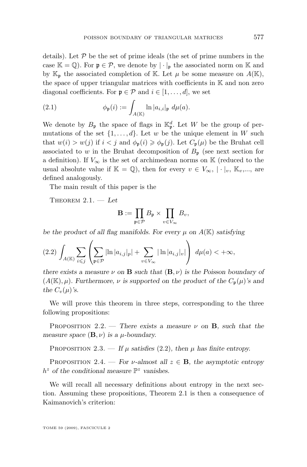<span id="page-3-0"></span>details). Let  $P$  be the set of prime ideals (the set of prime numbers in the case  $\mathbb{K} = \mathbb{Q}$ . For  $\mathfrak{p} \in \mathcal{P}$ , we denote by  $|\cdot|_{\mathfrak{p}}$  the associated norm on K and by  $\mathbb{K}_{p}$  the associated completion of K. Let  $\mu$  be some measure on  $A(\mathbb{K}),$ the space of upper triangular matrices with coefficients in K and non zero diagonal coefficients. For  $\mathfrak{p} \in \mathcal{P}$  and  $i \in [1, \ldots, d]$ , we set

(2.1) 
$$
\phi_{\mathfrak{p}}(i) := \int_{A(\mathbb{K})} \ln |a_{i,i}|_{\mathfrak{p}} d\mu(a).
$$

We denote by  $B_{\mathfrak{p}}$  the space of flags in  $\mathbb{K}_{\mathfrak{p}}^d$ . Let W be the group of permutations of the set  $\{1, \ldots, d\}$ . Let w be the unique element in W such that  $w(i) > w(j)$  if  $i < j$  and  $\phi_{\mathfrak{p}}(i) \geq \phi_{\mathfrak{p}}(j)$ . Let  $C_{\mathfrak{p}}(\mu)$  be the Bruhat cell associated to w in the Bruhat decomposition of  $B_p$  (see next section for a definition). If  $V_{\infty}$  is the set of archimedean norms on K (reduced to the usual absolute value if  $\mathbb{K} = \mathbb{Q}$ , then for every  $v \in V_{\infty}$ ,  $|\cdot|_v$ ,  $\mathbb{K}_v$ ,..., are defined analogously.

The main result of this paper is the

Theorem 2.1. — *Let*

$$
\mathbf{B} := \prod_{\mathfrak{p} \in \mathcal{P}} B_{\mathfrak{p}} \times \prod_{v \in V_{\infty}} B_{v},
$$

*be the product of all flag manifolds. For every*  $\mu$  *on*  $A(\mathbb{K})$  *satisfying* 

$$
(2.2)\int_{A(\mathbb{K})}\sum_{i\leq j}\left(\sum_{\mathfrak{p}\in\mathcal{P}}|\ln|a_{i,j}|_{p}|+\sum_{v\in V_{\infty}}|\ln|a_{i,j}|_{v}|\right)\ d\mu(a)<+\infty,
$$

*there exists a measure*  $\nu$  *on* **B** *such that*  $(\mathbf{B}, \nu)$  *is the Poisson boundary of*  $(A(K), \mu)$ *. Furthermore,*  $\nu$  *is supported on the product of the*  $C_p(\mu)$ *'s and the*  $C_v(\mu)$ *'s.* 

We will prove this theorem in three steps, corresponding to the three following propositions:

PROPOSITION 2.2. — *There exists a measure*  $\nu$  on **B**, such that the *measure space*  $(\mathbf{B}, \nu)$  *is a*  $\mu$ *-boundary.* 

PROPOSITION 2.3. — If  $\mu$  satisfies (2.2), then  $\mu$  has finite entropy.

PROPOSITION 2.4. — *For*  $\nu$ -almost all  $z \in \mathbf{B}$ , the asymptotic entropy  $h^z$  of the conditional measure  $\mathbb{P}^z$  vanishes.

We will recall all necessary definitions about entropy in the next section. Assuming these propositions, Theorem 2.1 is then a consequence of Kaimanovich's criterion: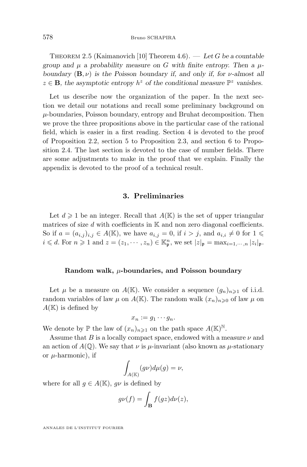Theorem 2.5 (Kaimanovich [\[10\]](#page-19-0) Theorem 4.6). — *Let* G *be a countable* group and  $\mu$  a probability measure on G with finite entropy. Then a  $\mu$ *boundary* (B, ν) *is the Poisson boundary if, and only if, for* ν*-almost all*  $z \in \mathbf{B}$ , the asymptotic entropy  $h^z$  of the conditional measure  $\mathbb{P}^z$  vanishes.

Let us describe now the organization of the paper. In the next section we detail our notations and recall some preliminary background on  $\mu$ -boundaries, Poisson boundary, entropy and Bruhat decomposition. Then we prove the three propositions above in the particular case of the rational field, which is easier in a first reading. Section [4](#page-6-0) is devoted to the proof of Proposition [2.2,](#page-3-0) section [5](#page-9-0) to Proposition [2.3,](#page-3-0) and section [6](#page-12-0) to Proposition [2.4.](#page-3-0) The last section is devoted to the case of number fields. There are some adjustments to make in the proof that we explain. Finally the appendix is devoted to the proof of a technical result.

#### **3. Preliminaries**

Let  $d \geq 1$  be an integer. Recall that  $A(\mathbb{K})$  is the set of upper triangular matrices of size  $d$  with coefficients in  $K$  and non zero diagonal coefficients. So if  $a = (a_{i,j})_{i,j} \in A(\mathbb{K})$ , we have  $a_{i,j} = 0$ , if  $i > j$ , and  $a_{i,i} \neq 0$  for  $1 \leq$  $i \leq d$ . For  $n \geq 1$  and  $z = (z_1, \dots, z_n) \in \mathbb{K}_{\mathfrak{p}}^n$ , we set  $|z|_{\mathfrak{p}} = \max_{i=1,\dots,n} |z_i|_{\mathfrak{p}}$ .

#### **Random walk,** µ**-boundaries, and Poisson boundary**

Let  $\mu$  be a measure on  $A(\mathbb{K})$ . We consider a sequence  $(g_n)_{n\geq 1}$  of i.i.d. random variables of law  $\mu$  on  $A(\mathbb{K})$ . The random walk  $(x_n)_{n\geq 0}$  of law  $\mu$  on  $A(\mathbb{K})$  is defined by

$$
x_n := g_1 \cdots g_n.
$$

We denote by  $\mathbb P$  the law of  $(x_n)_{n\geqslant 1}$  on the path space  $A(\mathbb K)^{\mathbb N}$ .

Assume that B is a locally compact space, endowed with a measure  $\nu$  and an action of  $A(\mathbb{Q})$ . We say that  $\nu$  is  $\mu$ -invariant (also known as  $\mu$ -stationary or  $\mu$ -harmonic), if

$$
\int_{A(\mathbb{K})} (g\nu)d\mu(g) = \nu,
$$

where for all  $g \in A(\mathbb{K})$ ,  $g\nu$  is defined by

$$
g\nu(f) = \int_{\mathbf{B}} f(gz)d\nu(z),
$$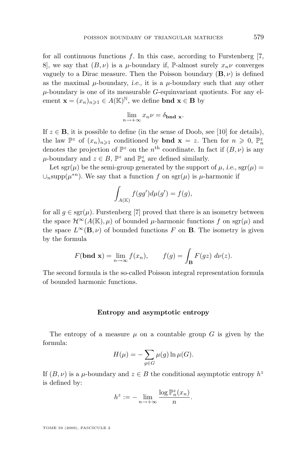for all continuous functions  $f$ . In this case, according to Furstenberg [\[7,](#page-18-0) 8, we say that  $(B, \nu)$  is a  $\mu$ -boundary if, P-almost surely  $x_n \nu$  converges vaguely to a Dirac measure. Then the Poisson boundary  $(\mathbf{B}, \nu)$  is defined as the maximal  $\mu$ -boundary, *i.e.*, it is a  $\mu$ -boundary such that any other  $\mu$ -boundary is one of its measurable  $G$ -equinvariant quotients. For any element  $\mathbf{x} = (x_n)_{n \geq 1} \in A(\mathbb{K})^{\mathbb{N}}$ , we define **bnd**  $\mathbf{x} \in \mathbf{B}$  by

$$
\lim_{n \to +\infty} x_n \nu = \delta_{\text{bnd x}}.
$$

If  $z \in \mathbf{B}$ , it is possible to define (in the sense of Doob, see [\[10\]](#page-19-0) for details), the law  $\mathbb{P}^z$  of  $(x_n)_{n\geqslant 1}$  conditioned by **bnd**  $\mathbf{x} = z$ . Then for  $n \geqslant 0$ ,  $\mathbb{P}_n^z$ denotes the projection of  $\mathbb{P}^z$  on the  $n^{\text{th}}$  coordinate. In fact if  $(B, \nu)$  is any  $\mu$ -boundary and  $z \in B$ ,  $\mathbb{P}^z$  and  $\mathbb{P}^z_n$  are defined similarly.

Let sgr( $\mu$ ) be the semi-group generated by the support of  $\mu$ , *i.e.*, sgr( $\mu$ ) =  $\cup_n$ supp $(\mu^{*n})$ . We say that a function f on sgr $(\mu)$  is  $\mu$ -harmonic if

$$
\int_{A(\mathbb{K})} f(gg')d\mu(g') = f(g),
$$

for all  $g \in \text{sgr}(\mu)$ . Furstenberg [\[7\]](#page-18-0) proved that there is an isometry between the space  $\mathcal{H}^{\infty}(A(\mathbb{K}), \mu)$  of bounded  $\mu$ -harmonic functions f on sgr( $\mu$ ) and the space  $L^{\infty}(\mathbf{B}, \nu)$  of bounded functions F on **B**. The isometry is given by the formula

$$
F(\mathbf{bnd} \mathbf{x}) = \lim_{n \to \infty} f(x_n), \qquad f(g) = \int_{\mathbf{B}} F(gz) \ d\nu(z).
$$

The second formula is the so-called Poisson integral representation formula of bounded harmonic functions.

#### **Entropy and asymptotic entropy**

The entropy of a measure  $\mu$  on a countable group G is given by the formula:

$$
H(\mu) = -\sum_{g \in G} \mu(g) \ln \mu(G).
$$

If  $(B, \nu)$  is a  $\mu$ -boundary and  $z \in B$  the conditional asymptotic entropy  $h^z$ is defined by:

$$
h^z := - \lim_{n \to +\infty} \frac{\log \mathbb{P}_n^z(x_n)}{n}.
$$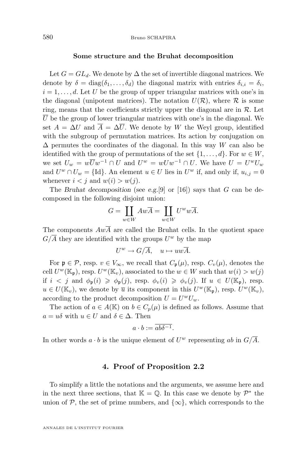#### **Some structure and the Bruhat decomposition**

<span id="page-6-0"></span>Let  $G = GL_d$ . We denote by  $\Delta$  the set of invertible diagonal matrices. We denote by  $\delta = \text{diag}(\delta_1, \dots, \delta_d)$  the diagonal matrix with entries  $\delta_{i,i} = \delta_i$ ,  $i = 1, \ldots, d$ . Let U be the group of upper triangular matrices with one's in the diagonal (unipotent matrices). The notation  $U(\mathcal{R})$ , where  $\mathcal R$  is some ring, means that the coefficients strictly upper the diagonal are in  $\mathcal{R}$ . Let  $\overline{U}$  be the group of lower triangular matrices with one's in the diagonal. We set  $A = \Delta U$  and  $\overline{A} = \Delta \overline{U}$ . We denote by W the Weyl group, identified with the subgroup of permutation matrices. Its action by conjugation on  $\Delta$  permutes the coordinates of the diagonal. In this way W can also be identified with the group of permutations of the set  $\{1, \ldots, d\}$ . For  $w \in W$ , we set  $U_w = w\overline{U}w^{-1} \cap U$  and  $U^w = wUw^{-1} \cap U$ . We have  $U = U^wU_w$ and  $U^w \cap U_w = \{\text{Id}\}\.$  An element  $u \in U$  lies in  $U^w$  if, and only if,  $u_{i,j} = 0$ whenever  $i < j$  and  $w(i) > w(j)$ .

The *Bruhat decomposition* (see *e.g.*[\[9\]](#page-19-0) or [\[16\]](#page-19-0)) says that G can be decomposed in the following disjoint union:

$$
G = \coprod_{w \in W} Aw\overline{A} = \coprod_{w \in W} U^w w\overline{A}.
$$

The components  $Aw\overline{A}$  are called the Bruhat cells. In the quotient space  $G/\overline{A}$  they are identified with the groups  $U^w$  by the map

$$
U^w \to G/\overline{A}, \quad u \mapsto uw\overline{A}.
$$

For  $\mathfrak{p} \in \mathcal{P}$ , resp.  $v \in V_{\infty}$ , we recall that  $C_{\mathfrak{p}}(\mu)$ , resp.  $C_{v}(\mu)$ , denotes the cell  $U^w(\mathbb{K}_{\mathfrak{p}})$ , resp.  $U^w(\mathbb{K}_v)$ , associated to the  $w \in W$  such that  $w(i) > w(j)$ if  $i < j$  and  $\phi_{\mathfrak{p}}(i) \geq \phi_{\mathfrak{p}}(j)$ , resp.  $\phi_v(i) \geq \phi_v(j)$ . If  $u \in U(\mathbb{K}_{\mathfrak{p}})$ , resp.  $u \in U(\mathbb{K}_v)$ , we denote by  $\overline{u}$  its component in this  $U^w(\mathbb{K}_{\mathfrak{p}})$ , resp.  $U^w(\mathbb{K}_v)$ , according to the product decomposition  $U = U^w U_w$ .

The action of  $a \in A(\mathbb{K})$  on  $b \in C_p(\mu)$  is defined as follows. Assume that  $a = u\delta$  with  $u \in U$  and  $\delta \in \Delta$ . Then

$$
a \cdot b := \overline{ab\delta^{-1}}.
$$

In other words  $a \cdot b$  is the unique element of  $U^w$  representing  $ab$  in  $G/\overline{A}$ .

#### **4. Proof of Proposition [2.2](#page-3-0)**

To simplify a little the notations and the arguments, we assume here and in the next three sections, that  $\mathbb{K} = \mathbb{Q}$ . In this case we denote by  $\mathcal{P}^*$  the union of P, the set of prime numbers, and  $\{\infty\}$ , which corresponds to the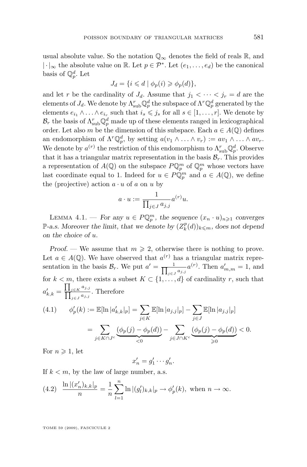<span id="page-7-0"></span>usual absolute value. So the notation  $\mathbb{Q}_{\infty}$  denotes the field of reals R, and |⋅ $\vert_{\infty}$  the absolute value on ℝ. Let  $p \in \mathcal{P}^*$ . Let  $(e_1, \ldots, e_d)$  be the canonical basis of  $\mathbb{Q}_p^d$ . Let

$$
J_d = \{ i \leq d \mid \phi_p(i) \geq \phi_p(d) \},
$$

and let r be the cardinality of  $J_d$ . Assume that  $j_1 < \cdots < j_r = d$  are the elements of  $J_d$ . We denote by  $\Lambda_{\rm sub}^r \mathbb{Q}_p^d$  the subspace of  $\Lambda^r \mathbb{Q}_p^d$  generated by the elements  $e_{i_1} \wedge \ldots \wedge e_{i_r}$  such that  $i_s \leq j_s$  for all  $s \in [1, \ldots, r]$ . We denote by  $\mathcal{B}_r$  the basis of  $\Lambda_{\rm sub}^r \mathbb{Q}_p^d$  made up of these elements ranged in lexicographical order. Let also m be the dimension of this subspace. Each  $a \in A(\mathbb{Q})$  defines an endomorphism of  $\Lambda^r \mathbb{Q}_p^d$ , by setting  $a(v_1 \wedge \ldots \wedge v_r) := av_1 \wedge \ldots \wedge av_r$ . We denote by  $a^{(r)}$  the restriction of this endomorphism to  $\Lambda_{\text{sub}}^r \mathbb{Q}_p^d$ . Observe that it has a triangular matrix representation in the basis  $\mathcal{B}_r$ . This provides a representation of  $A(\mathbb{Q})$  on the subspace  $P\mathbb{Q}_p^m$  of  $\mathbb{Q}_p^m$  whose vectors have last coordinate equal to 1. Indeed for  $u \in \widehat{PQ_p^m}$  and  $a \in A(\mathbb{Q})$ , we define the (projective) action  $a \cdot u$  of a on u by

$$
a \cdot u := \frac{1}{\prod_{j \in J} a_{j,j}} a^{(r)} u.
$$

LEMMA 4.1. — *For any*  $u \in P\mathbb{Q}_p^m$ , the sequence  $(x_n \cdot u)_{n \geq 1}$  converges  $\mathbb{P}\text{-}a.s.$  Moreover the limit, that we denote by  $(Z_k^p(d))_{k \leq m}$ , does not depend *on the choice of* u*.*

*Proof.* — We assume that  $m \ge 2$ , otherwise there is nothing to prove. Let  $a \in A(\mathbb{Q})$ . We have observed that  $a^{(r)}$  has a triangular matrix representation in the basis  $\mathcal{B}_r$ . We put  $a' = \frac{1}{\prod_{i \in I_r}}$  $\frac{1}{j\in J} a_{j,j}^{(r)}$ . Then  $a'_{m,m} = 1$ , and for  $k < m$ , there exists a subset  $K \subset \{1, \ldots, d\}$  of cardinality r, such that  $a'_{k,k} = \frac{\prod_{j\in K} a_{j,j}}{\prod_{j\in K} a_{j,j}}$  $\frac{\prod_{j\in K} a_{j,j}}{\prod_{j\in J} a_{j,j}}$ . Therefore

(4.1) 
$$
\phi'_p(k) := \mathbb{E}[\ln |a'_{k,k}|_p] = \sum_{j \in K} \mathbb{E}[\ln |a_{j,j}|_p] - \sum_{j \in J} \mathbb{E}[\ln |a_{j,j}|_p]
$$

$$
= \sum_{j \in K \cap J^c} \underbrace{(\phi_p(j) - \phi_p(d))}_{<0} - \sum_{j \in J \cap K^c} \underbrace{(\phi_p(j) - \phi_p(d))}_{\geq 0} < 0.
$$

For  $n \geqslant 1$ , let

$$
x'_n = g'_1 \cdots g'_n.
$$

If  $k < m$ , by the law of large number, a.s.

(4.2) 
$$
\frac{\ln |(x'_n)_{k,k}|_p}{n} = \frac{1}{n} \sum_{l=1}^n \ln |(g'_l)_{k,k}|_p \to \phi'_p(k), \text{ when } n \to \infty.
$$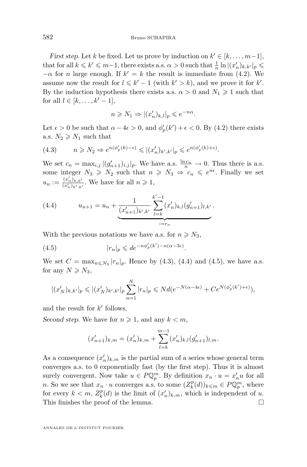*First step.* Let k be fixed. Let us prove by induction on  $k' \in [k, \ldots, m-1]$ , that for all  $k \leq k' \leq m-1$ , there exists a.s.  $\alpha > 0$  such that  $\frac{1}{n} \ln |(x'_n)_{k,k'}|_p \leq$  $-\alpha$  for *n* large enough. If  $k' = k$  the result is immediate from [\(4.2\)](#page-7-0). We assume now the result for  $l \leq k'-1$  (with  $k' > k$ ), and we prove it for k'. By the induction hypothesis there exists a.s.  $\alpha > 0$  and  $N_1 \geq 1$  such that for all  $l \in [k, \ldots, k'-1]$ ,

$$
n \ge N_1 \Rightarrow |(x'_n)_{k,l}|_p \le e^{-n\alpha}.
$$

Let  $\epsilon > 0$  be such that  $\alpha - 4\epsilon > 0$ , and  $\phi'_p(k') + \epsilon < 0$ . By [\(4.2\)](#page-7-0) there exists a.s.  $N_2 \geq N_1$  such that

(4.3) 
$$
n \geq N_2 \Rightarrow e^{n(\phi_p'(k) - \epsilon)} \leq |(x'_n)_{k',k'}|_p \leq e^{n(\phi_p'(k) + \epsilon)}.
$$

We set  $c_n = \max_{i,j} |(g'_{n+1})_{i,j}|_p$ . We have a.s.  $\frac{\ln c_n}{n} \to 0$ . Thus there is a.s. some integer  $N_3 \ge N_2$  such that  $n \ge N_3 \Rightarrow c_n \le e^{n\epsilon}$ . Finally we set  $u_n := \frac{(x'_n)_{k,k'}}{(x'_n)_{k',k'}}$ . We have for all  $n \geq 1$ ,

(4.4) 
$$
u_{n+1} = u_n + \underbrace{\frac{1}{(x'_{n+1})_{k',k'}} \sum_{l=k}^{k'-1} (x'_n)_{k,l} (g'_{n+1})_{l,k'}}_{:=r_n}.
$$

With the previous notations we have a.s. for  $n \geq N_3$ ,

(4.5) 
$$
|r_n|_p \leqslant de^{-n\phi_p'(k')-n(\alpha-3\epsilon)}.
$$

We set  $C = \max_{n \le N_3} |r_n|_p$ . Hence by (4.3), (4.4) and (4.5), we have a.s. for any  $N \geq N_3$ ,

$$
|(x'_N)_{k,k'}|_p \leqslant |(x'_N)_{k',k'}|_p \sum_{n=1}^N |r_n|_p \leqslant N d(e^{-N(\alpha-4\epsilon)} + Ce^{N(\phi_p'(k')+\epsilon)}),
$$

and the result for  $k'$  follows.

*Second step.* We have for  $n \ge 1$ , and any  $k < m$ ,

$$
(x'_{n+1})_{k,m} = (x'_n)_{k,m} + \sum_{l=k}^{m-1} (x'_n)_{k,l} (g'_{n+1})_{l,m}.
$$

As a consequence  $(x'_n)_{k,m}$  is the partial sum of a series whose general term converges a.s. to 0 exponentially fast (by the first step). Thus it is almost surely convergent. Now take  $u \in P \mathbb{Q}_p^m$ . By definition  $x_n \cdot u = x'_n u$  for all n. So we see that  $x_n \cdot u$  converges a.s. to some  $(Z_k^p(d))_{k \leq m} \in P \mathbb{Q}_p^m$ , where for every  $k < m$ ,  $Z_k^p(d)$  is the limit of  $(x'_n)_{k,m}$ , which is independent of u. This finishes the proof of the lemma.  $\Box$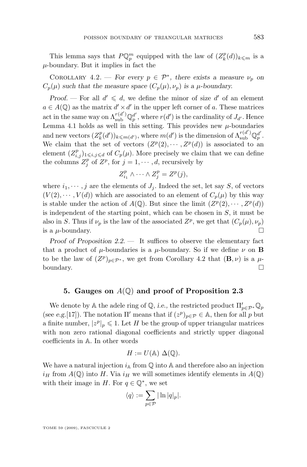<span id="page-9-0"></span>This lemma says that  $P\mathbb{Q}_p^m$  equipped with the law of  $(Z_k^p(d))_{k \leq m}$  is a  $\mu$ -boundary. But it implies in fact the

COROLLARY 4.2. — *For every*  $p \in \mathcal{P}^*$ , there exists a measure  $\nu_p$  on  $C_p(\mu)$  *such that the measure space*  $(C_p(\mu), \nu_p)$  *is a*  $\mu$ *-boundary.* 

*Proof.* – For all  $d' \leq d$ , we define the minor of size  $d'$  of an element  $a \in A(\mathbb{Q})$  as the matrix  $d' \times d'$  in the upper left corner of a. These matrices act in the same way on  $\Lambda_{sub}^{r(d')} \mathbb{Q}_p^{d'}$ , where  $r(d')$  is the cardinality of  $J_{d'}$ . Hence Lemma [4.1](#page-7-0) holds as well in this setting. This provides new  $\mu$ -boundaries and new vectors  $(Z_k^p(d'))_{k \leq m(d')}$ , where  $m(d')$  is the dimension of  $\Lambda^{r(d')}_{sub} \mathbb{Q}_p^{d'}$ . We claim that the set of vectors  $(Z^p(2), \dots, Z^p(d))$  is associated to an element  $(Z_{i,j}^p)_{1\leq i,j\leq d}$  of  $C_p(\mu)$ . More precisely we claim that we can define the columns  $Z_j^p$  of  $Z^p$ , for  $j = 1, \dots, d$ , recursively by

$$
Z_{i_1}^p \wedge \cdots \wedge Z_j^p = Z^p(j),
$$

where  $i_1, \dots, j$  are the elements of  $J_i$ . Indeed the set, let say S, of vectors  $(V(2), \dots, V(d))$  which are associated to an element of  $C_p(\mu)$  by this way is stable under the action of  $A(\mathbb{Q})$ . But since the limit  $(Z^p(2), \dots, Z^p(d))$ is independent of the starting point, which can be chosen in  $S$ , it must be also in S. Thus if  $\nu_p$  is the law of the associated  $Z^p$ , we get that  $(C_p(\mu), \nu_p)$ is a  $\mu$ -boundary.

*Proof of Proposition* [2.2.](#page-3-0) — It suffices to observe the elementary fact that a product of  $\mu$ -boundaries is a  $\mu$ -boundary. So if we define  $\nu$  on **B** to be the law of  $(Z^p)_{p \in \mathcal{P}^*}$ , we get from Corollary 4.2 that  $(\mathbf{B}, \nu)$  is a  $\mu$ boundary.

#### **5. Gauges on** A(Q) **and proof of Proposition [2.3](#page-3-0)**

We denote by A the adele ring of  $\mathbb{Q}$ , *i.e.*, the restricted product  $\Pi'_{p \in \mathcal{P}^*} \mathbb{Q}_p$ (see *e.g.*[\[17\]](#page-19-0)). The notation  $\Pi'$  means that if  $(z^p)_{p \in \mathcal{P}} \in A$ , then for all p but a finite number,  $|z^p|_p \leq 1$ . Let H be the group of upper triangular matrices with non zero rational diagonal coefficients and strictly upper diagonal coefficients in A. In other words

$$
H := U(\mathbb{A}) \Delta(\mathbb{Q}).
$$

We have a natural injection  $i_A$  from  $\mathbb Q$  into A and therefore also an injection  $i_H$  from  $A(\mathbb{Q})$  into H. Via  $i_H$  we will sometimes identify elements in  $A(\mathbb{Q})$ with their image in H. For  $q \in \mathbb{Q}^*$ , we set

$$
\langle q \rangle := \sum_{p \in \mathcal{P}} |\ln |q|_p|.
$$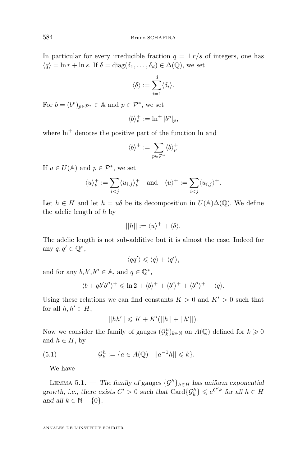<span id="page-10-0"></span>In particular for every irreducible fraction  $q = \pm r/s$  of integers, one has  $\langle q \rangle = \ln r + \ln s$ . If  $\delta = \text{diag}(\delta_1, \ldots, \delta_d) \in \Delta(\mathbb{Q})$ , we set

$$
\langle \delta \rangle := \sum_{i=1}^d \langle \delta_i \rangle.
$$

For  $b = (b^p)_{p \in \mathcal{P}^*} \in \mathbb{A}$  and  $p \in \mathcal{P}^*$ , we set

$$
\langle b \rangle_p^+ := \ln^+ |b^p|_p,
$$

where  $\ln^+$  denotes the positive part of the function ln and

$$
\langle b\rangle^+:=\sum_{p\in\mathcal{P}^*}\langle b\rangle_p^+
$$

If  $u \in U(\mathbb{A})$  and  $p \in \mathcal{P}^*$ , we set

$$
\langle u \rangle_p^+ := \sum_{i < j} \langle u_{i,j} \rangle_p^+ \quad \text{and} \quad \langle u \rangle^+ := \sum_{i < j} \langle u_{i,j} \rangle^+.
$$

Let  $h \in H$  and let  $h = u\delta$  be its decomposition in  $U(\mathbb{A})\Delta(\mathbb{Q})$ . We define the adelic length of  $h$  by

$$
||h|| := \langle u \rangle^+ + \langle \delta \rangle.
$$

The adelic length is not sub-additive but it is almost the case. Indeed for any  $q, q' \in \mathbb{Q}^*,$ 

$$
\langle qq'\rangle \leqslant \langle q\rangle + \langle q'\rangle,
$$

and for any  $b, b', b'' \in \mathbb{A}$ , and  $q \in \mathbb{Q}^*$ ,

$$
\langle b+qb'b''\rangle^+ \leqslant \ln 2 + \langle b\rangle^+ + \langle b'\rangle^+ + \langle b''\rangle^+ + \langle q\rangle.
$$

Using these relations we can find constants  $K > 0$  and  $K' > 0$  such that for all  $h, h' \in H$ ,

$$
||hh'|| \leq K + K'(||h|| + ||h'||).
$$

Now we consider the family of gauges  $(\mathcal{G}_k^h)_{k \in \mathbb{N}}$  on  $A(\mathbb{Q})$  defined for  $k \geq 0$ and  $h \in H$ , by

(5.1) 
$$
\mathcal{G}_k^h := \{ a \in A(\mathbb{Q}) \mid ||a^{-1}h|| \leq k \}.
$$

We have

LEMMA 5.1. — *The family of gauges*  $\{\mathcal{G}^h\}_{h\in H}$  *has uniform exponential growth, i.e., there exists*  $C' > 0$  *such that*  $\text{Card}\{\mathcal{G}_k^h\} \leqslant e^{C'k}$  for all  $h \in H$ *and all*  $k \in \mathbb{N} - \{0\}$ *.*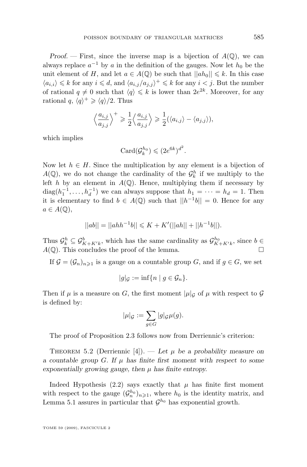*Proof.* — First, since the inverse map is a bijection of  $A(\mathbb{Q})$ , we can always replace  $a^{-1}$  by a in the definition of the gauges. Now let  $h_0$  be the unit element of H, and let  $a \in A(\mathbb{Q})$  be such that  $||ah_0|| \leq k$ . In this case  $\langle a_{i,i} \rangle \leq k$  for any  $i \leq d$ , and  $\langle a_{i,j}/a_{j,j} \rangle^+ \leq k$  for any  $i < j$ . But the number of rational  $q \neq 0$  such that  $\langle q \rangle \leq k$  is lower than  $2e^{2k}$ . Moreover, for any rational  $q, \langle q \rangle^+ \geq \langle q \rangle / 2$ . Thus

$$
\left\langle \frac{a_{i,j}}{a_{j,j}} \right\rangle^+ \geq \frac{1}{2} \left\langle \frac{a_{i,j}}{a_{j,j}} \right\rangle \geq \frac{1}{2} (\left\langle a_{i,j} \right\rangle - \left\langle a_{j,j} \right\rangle),
$$

which implies

$$
Card(\mathcal{G}_k^{h_0}) \leqslant (2e^{6k})^{d^2}.
$$

Now let  $h \in H$ . Since the multiplication by any element is a bijection of  $A(\mathbb{Q})$ , we do not change the cardinality of the  $\mathcal{G}_k^h$  if we multiply to the left h by an element in  $A(\mathbb{Q})$ . Hence, multiplying them if necessary by  $diag(h_1^{-1},...,h_d^{-1})$  we can always suppose that  $h_1 = \cdots = h_d = 1$ . Then it is elementary to find  $b \in A(\mathbb{Q})$  such that  $||h^{-1}b|| = 0$ . Hence for any  $a \in A(\mathbb{Q}),$ 

$$
||ab|| = ||ahh^{-1}b|| \le K + K'(||ah|| + ||h^{-1}b||).
$$

Thus  $\mathcal{G}_k^b \subseteq \mathcal{G}_{K+K'k}^b$ , which has the same cardinality as  $\mathcal{G}_{K+K'k}^{h_0}$ , since  $b \in$  $A(\mathbb{Q})$ . This concludes the proof of the lemma.

If  $\mathcal{G} = (\mathcal{G}_n)_{n \geq 1}$  is a gauge on a countable group G, and if  $g \in G$ , we set

$$
|g|_{\mathcal{G}} := \inf \{ n \mid g \in \mathcal{G}_n \}.
$$

Then if  $\mu$  is a measure on G, the first moment  $|\mu|_q$  of  $\mu$  with respect to G is defined by:

$$
|\mu|_{\mathcal{G}} := \sum_{g \in G} |g|_{\mathcal{G}} \mu(g).
$$

The proof of Proposition [2.3](#page-3-0) follows now from Derriennic's criterion:

THEOREM 5.2 (Derriennic [\[4\]](#page-18-0)). — Let  $\mu$  be a probability measure on *a countable group*  $G$ *. If*  $\mu$  *has finite first moment with respect to some*  $exponentially growing gauge, then  $\mu$  has finite entropy.$ 

Indeed Hypothesis [\(2.2\)](#page-3-0) says exactly that  $\mu$  has finite first moment with respect to the gauge  $(\mathcal{G}_n^{h_0})_{n\geqslant 1}$ , where  $h_0$  is the identity matrix, and Lemma [5.1](#page-10-0) assures in particular that  $\mathcal{G}^{h_0}$  has exponential growth.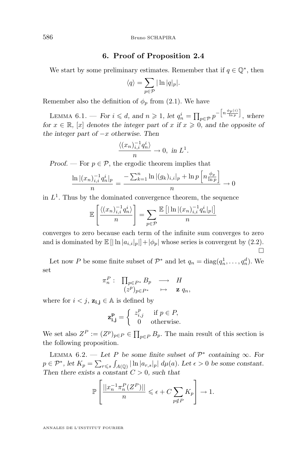#### **6. Proof of Proposition [2.4](#page-3-0)**

<span id="page-12-0"></span>We start by some preliminary estimates. Remember that if  $q \in \mathbb{Q}^*$ , then

$$
\langle q \rangle = \sum_{p \in \mathcal{P}} |\ln |q|_p|.
$$

Remember also the definition of  $\phi_p$  from [\(2.1\)](#page-3-0). We have

LEMMA 6.1. — *For*  $i \leq d$ , and  $n \geq 1$ , let  $q_n^i = \prod_{p \in \mathcal{P}} p^{-\left[n \frac{\phi_p(i)}{\ln p}\right]}$ , where *for*  $x \in \mathbb{R}$ *,* [x] *denotes the integer part of* x *if*  $x \ge 0$ *, and the opposite of the integer part of* −x *otherwise. Then*

$$
\frac{\langle (x_n)^{-1}_{i,i} q_n^i \rangle}{n} \to 0, \text{ in } L^1.
$$

*Proof.* — For  $p \in \mathcal{P}$ , the ergodic theorem implies that

$$
\frac{\ln |(x_n)_{i,i}^{-1} q_n^i|_p}{n} = \frac{-\sum_{k=1}^n \ln |(g_k)_{i,i}|_p + \ln p \left[ n \frac{\phi_p}{\ln p} \right]}{n} \to 0
$$

in  $L<sup>1</sup>$ . Thus by the dominated convergence theorem, the sequence

$$
\mathbb{E}\left[\frac{\langle (x_n)_{i,i}^{-1} q_n^i \rangle}{n}\right] = \sum_{p \in \mathcal{P}} \frac{\mathbb{E}\left[|\ln |(x_n)_{i,i}^{-1} q_n^i|_p|\right]}{n}
$$

converges to zero because each term of the infinite sum converges to zero and is dominated by  $\mathbb{E}[|\ln |a_{i,i}|_p|] + |\phi_p|$  whose series is convergent by  $(2.2)$ . П

Let now P be some finite subset of  $\mathcal{P}^*$  and let  $q_n = \text{diag}(q_n^1, \dots, q_n^d)$ . We set

$$
\begin{array}{cccc}\n\pi_n^P: & \prod_{p\in P^*}B_p & \longrightarrow & H \\
& (z^p)_{p\in P^*} & \mapsto & \mathbf{z} \ q_n,\n\end{array}
$$

where for  $i < j$ ,  $z_{i,j} \in A$  is defined by

$$
\mathbf{z_{i,j}^{p}} = \begin{cases} z_{i,j}^{p} & \text{if } p \in P, \\ 0 & \text{otherwise.} \end{cases}
$$

We set also  $Z^P := (Z^p)_{p \in P} \in \prod_{p \in P} B_p$ . The main result of this section is the following proposition.

LEMMA  $6.2.$  — Let P be some finite subset of  $\mathcal{P}^*$  containing  $\infty$ *.* For  $p \in \mathcal{P}^*$ , let  $K_p = \sum_{r \leq s} \int_{A(\mathbb{Q})} |\ln |a_{r,s}|_p | d\mu(a)$ . Let  $\epsilon > 0$  be some constant. *Then there exists a constant*  $C > 0$ *, such that* 

$$
\mathbb{P}\left[\frac{||x_n^{-1}\pi_n^P(Z^P)||}{n} \leqslant \epsilon + C \sum_{p \notin P} K_p \right] \to 1.
$$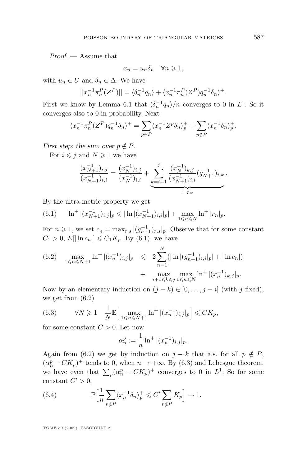<span id="page-13-0"></span>*Proof. —* Assume that

$$
x_n=u_n\delta_n\quad \forall n\geqslant 1,
$$

with  $u_n \in U$  and  $\delta_n \in \Delta$ . We have

$$
||x_n^{-1} \pi_n^P(Z^P)|| = \langle \delta_n^{-1} q_n \rangle + \langle x_n^{-1} \pi_n^P(Z^P) q_n^{-1} \delta_n \rangle^+.
$$

First we know by Lemma [6.1](#page-12-0) that  $\langle \delta_n^{-1} q_n \rangle / n$  converges to 0 in  $L^1$ . So it converges also to 0 in probability. Next

$$
\langle x_n^{-1} \pi_n^P (Z^P) q_n^{-1} \delta_n \rangle^+ = \sum_{p \in P} \langle x_n^{-1} Z^p \delta_n \rangle_p^+ + \sum_{p \notin P} \langle x_n^{-1} \delta_n \rangle_p^+.
$$

*First step: the sum over*  $p \notin P$ *.* 

For  $i \leq j$  and  $N \geq 1$  we have

$$
\frac{(x_{N+1}^{-1})_{i,j}}{(x_{N+1}^{-1})_{i,i}} = \frac{(x_N^{-1})_{i,j}}{(x_N^{-1})_{i,i}} + \underbrace{\sum_{k=i+1}^j \frac{(x_N^{-1})_{k,j}}{(x_{N+1}^{-1})_{i,i}} (g_{N+1}^{-1})_{i,k}}_{:=r_N}.
$$

By the ultra-metric property we get

(6.1) 
$$
\ln^{+} |(x_{N+1}^{-1})_{i,j}|_{p} \leq |\ln |(x_{N+1}^{-1})_{i,i}|_{p}| + \max_{1 \leq n \leq N} \ln^{+} |r_{n}|_{p}.
$$

For  $n \geq 1$ , we set  $c_n = \max_{r,s} |(g_{n+1}^{-1})_{r,s}|_p$ . Observe that for some constant  $C_1 > 0, E[|\ln c_n|] \leq C_1 K_p$ . By (6.1), we have

(6.2) 
$$
\max_{1 \leq n \leq N+1} \ln^{+} |(x_{n}^{-1})_{i,j}|_{p} \leq 2 \sum_{n=1}^{N} (|\ln |(g_{n+1}^{-1})_{i,i}|_{p}| + |\ln c_{n}|) + \max_{i+1 \leq k \leq j} \max_{1 \leq n \leq N} \ln^{+} |(x_{n}^{-1})_{k,j}|_{p}.
$$

Now by an elementary induction on  $(j - k) \in [0, \ldots, j - i]$  (with j fixed), we get from (6.2)

(6.3) 
$$
\forall N \geq 1 \quad \frac{1}{N} \mathbb{E} \Big[ \max_{1 \leq n \leq N+1} \ln^{+} |(x_{n}^{-1})_{i,j}|_{p} \Big] \leq C K_{p},
$$

for some constant  $C > 0$ . Let now

$$
\alpha_n^p := \frac{1}{n} \ln^+ |(x_n^{-1})_{i,j}|_p.
$$

Again from (6.2) we get by induction on  $j - k$  that a.s. for all  $p \notin P$ ,  $(\alpha_n^p - CK_p)^+$  tends to 0, when  $n \to +\infty$ . By (6.3) and Lebesgue theorem, we have even that  $\sum_{p} (\alpha_p^p - CK_p)^+$  converges to 0 in  $L^1$ . So for some constant  $C' > 0$ ,

(6.4) 
$$
\mathbb{P}\Big[\frac{1}{n}\sum_{p \notin P} \langle x_n^{-1} \delta_n \rangle_p^+ \leqslant C' \sum_{p \notin P} K_p\Big] \to 1.
$$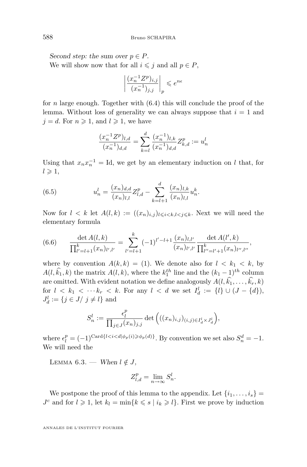*Second step: the sum over*  $p \in P$ *.* We will show now that for all  $i \leq j$  and all  $p \in P$ ,

$$
\left|\frac{(x_n^{-1}Z^p)_{i,j}}{(x_n^{-1})_{j,j}}\right|_p\leqslant e^{n\epsilon}
$$

for *n* large enough. Together with  $(6.4)$  this will conclude the proof of the lemma. Without loss of generality we can always suppose that  $i = 1$  and  $j = d$ . For  $n \geq 1$ , and  $l \geq 1$ , we have

$$
\frac{(x_n^{-1}Z^p)_{l,d}}{(x_n^{-1})_{d,d}} = \sum_{k=l}^d \frac{(x_n^{-1})_{l,k}}{(x_n^{-1})_{d,d}} Z_{k,d}^p := u_n^l
$$

Using that  $x_n x_n^{-1} = \text{Id}$ , we get by an elementary induction on l that, for  $l \geqslant 1$ ,

(6.5) 
$$
u_n^l = \frac{(x_n)_{d,d}}{(x_n)_{l,l}} Z_{l,d}^p - \sum_{k=l+1}^d \frac{(x_n)_{l,k}}{(x_n)_{l,l}} u_n^k.
$$

Now for  $l < k$  let  $A(l,k) := ((x_n)_{i,j})_{l \leqslant i < k, l < j \leqslant k}$ . Next we will need the elementary formula

(6.6) 
$$
\frac{\det A(l,k)}{\prod_{l'=l+1}^k (x_n)_{l',l'}} = \sum_{l'=l+1}^k (-1)^{l'-l+1} \frac{(x_n)_{l,l'}}{(x_n)_{l',l'}} \frac{\det A(l',k)}{\prod_{l''=l'+1}^k (x_n)_{l'',l''}},
$$

where by convention  $A(k, k) = (1)$ . We denote also for  $l < k_1 < k$ , by  $A(l, \hat{k}_1, k)$  the matrix  $A(l, k)$ , where the  $k_1^{th}$  line and the  $(k_1 - 1)^{th}$  column are omitted. With evident notation we define analogously  $A(l, \hat{k_1}, \ldots, \hat{k_r}, k)$ for  $l \, < \, k_1 \, < \, \cdots \, k_r \, < \, k$ . For any  $l \, < \, d$  we set  $I_d^l \, := \, \{l\} \cup (J - \{d\}),$  $J_d^l := \{ j \in J / j \neq l \}$  and

$$
S_n^l := \frac{\epsilon_l^p}{\prod_{j \in J} (x_n)_{j,j}} \det \left( ((x_n)_{i,j})_{(i,j) \in I_d^l \times J_d^l} \right),
$$

where  $\epsilon_l^p = (-1)^{\text{Card}\{l < i < d | \phi_p(i) \geq \phi_p(d)\}}$ . By convention we set also  $S_n^d = -1$ . We will need the

LEMMA 6.3. — *When*  $l \notin J$ ,

$$
Z_{l,d}^p = \lim_{n \to \infty} S_n^l.
$$

We postpone the proof of this lemma to the appendix. Let  $\{i_1, \ldots, i_s\}$  $J<sup>c</sup>$  and for  $l \geq 1$ , let  $k_l = \min\{k \leq s \mid i_k \geq l\}$ . First we prove by induction

<span id="page-14-0"></span>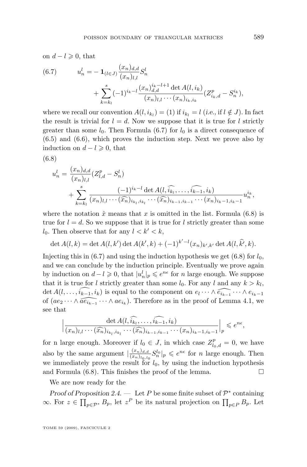on  $d - l \geqslant 0$ , that

(6.7) 
$$
u_n^l = -\mathbf{1}_{(l \in J)} \frac{(x_n)_{d,d}}{(x_n)_{l,l}} S_n^l + \sum_{k=k_l}^s (-1)^{i_k - l} \frac{(x_n)_{d,d}^{i_k - l + 1} \det A(l, i_k)}{(x_n)_{l,l} \cdots (x_n)_{i_k, i_k}} (Z_{i_k, d}^p - S_n^{i_k}),
$$

where we recall our convention  $A(l, i_{k_l}) = (1)$  if  $i_{k_l} = l$  (*i.e.*, if  $l \notin J$ ). In fact the result is trivial for  $l = d$ . Now we suppose that it is true for l strictly greater than some  $l_0$ . Then Formula (6.7) for  $l_0$  is a direct consequence of [\(6.5\)](#page-14-0) and [\(6.6\)](#page-14-0), which proves the induction step. Next we prove also by induction on  $d - l \geqslant 0$ , that

(6.8)

$$
u_n^l = \frac{(x_n)_{d,d}}{(x_n)_{l,l}} (Z_{l,d}^p - S_n^l)
$$
  
+ 
$$
\sum_{k=k_l}^s \frac{(-1)^{i_k-l} \det A(l, \widehat{i_{k_l}}, \dots, \widehat{i_{k-1}}, i_k)}{(x_n)_{l,l} \cdots (\widehat{x_n})_{i_{k_l}, i_{k_l}} \cdots (\widehat{x_n})_{i_{k-1}, i_{k-1}} \cdots (x_n)_{i_k-1, i_k-1}} u_n^{i_k},
$$

where the notation  $\hat{x}$  means that x is omitted in the list. Formula (6.8) is true for  $l = d$ . So we suppose that it is true for l strictly greater than some  $l_0$ . Then observe that for any  $l < k' < k$ ,

$$
\det A(l,k) = \det A(l,k') \det A(k',k) + (-1)^{k'-l} (x_n)_{k',k'} \det A(l,\hat{k'},k).
$$

Injecting this in  $(6.7)$  and using the induction hypothesis we get  $(6.8)$  for  $l_0$ , and we can conclude by the induction principle. Eventually we prove again by induction on  $d - l \geq 0$ , that  $|u_n^l|_p \leq e^{n\epsilon}$  for n large enough. We suppose that it is true for l strictly greater than some  $l_0$ . For any l and any  $k > k_l$ , det  $A(l, \ldots, \widehat{i_{k-1}}, i_k)$  is equal to the component on  $e_l \cdots \wedge \widehat{e_{i_{k-1}}} \cdots \wedge e_{i_{k-1}}$ of  $(ae_2 \cdots \wedge \widehat{ae_{i_{k-1}}} \cdots \wedge ae_{i_k})$ . Therefore as in the proof of Lemma [4.1,](#page-7-0) we see that

$$
\left|\frac{\det A(l,\widehat{i_{k_1}},\ldots,\widehat{i_{k-1}},i_k)}{(x_n)_{l,l}\cdots(\widehat{x_n})_{i_{k_1},i_{k_l}}\cdots(\widehat{x_n})_{i_{k-1},i_{k-1}}\cdots(x_n)_{i_{k-1},i_{k-1}}|_p\leqslant e^{n\epsilon},\right.
$$

for n large enough. Moreover if  $l_0 \in J$ , in which case  $Z_{l_0,d}^p = 0$ , we have also by the same argument  $\frac{(x_n)_{d,d}}{(x_n)_{d,d}}$  $\frac{(x_n)_{d,d}}{(x_n)_{l_0,l_0}} S_n^{l_0}|_p \leqslant e^{n\epsilon}$  for n large enough. Then we immediately prove the result for  $l_0$ , by using the induction hypothesis and Formula  $(6.8)$ . This finishes the proof of the lemma.

We are now ready for the

*Proof of Proposition* [2.4.](#page-3-0) — Let P be some finite subset of  $\mathcal{P}^*$  containing ∞. For  $z \in \prod_{p \in \mathcal{P}^*} B_p$ , let  $z^P$  be its natural projection on  $\prod_{p \in P} B_p$ . Let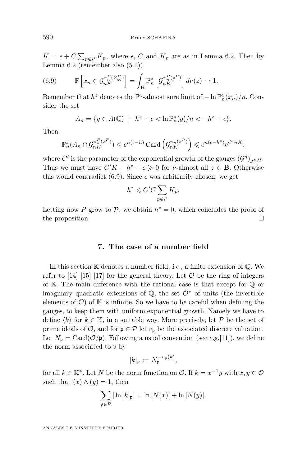<span id="page-16-0"></span> $K = \epsilon + C \sum_{p \notin P} K_p$ , where  $\epsilon$ , C and  $K_p$  are as in Lemma [6.2.](#page-12-0) Then by Lemma [6.2](#page-12-0) (remember also [\(5.1\)](#page-10-0))

(6.9) 
$$
\mathbb{P}\left[x_n \in \mathcal{G}_{nK}^{\pi_n^P(Z_\infty^P)}\right] = \int_{\mathbf{B}} \mathbb{P}_n^z \left[\mathcal{G}_{nK}^{\pi_n^P(z^P)}\right] d\nu(z) \to 1.
$$

Remember that  $h^z$  denotes the  $\mathbb{P}^z$ -almost sure limit of  $-\ln \mathbb{P}_n^z(x_n)/n$ . Consider the set

$$
A_n = \{ g \in A(\mathbb{Q}) \mid -h^z - \epsilon < \ln \mathbb{P}_n^z(g)/n < -h^z + \epsilon \}.
$$

Then

$$
\mathbb{P}^{z}_{n}(A_{n} \cap \mathcal{G}^{\pi^{P}_{n}(z^{P})}_{nK}) \leq e^{n(\epsilon - h)} \operatorname{Card} \left( \mathcal{G}^{\pi_{n}(z^{P})}_{nK} \right) \leq e^{n(\epsilon - h^{z})} e^{C' nK},
$$

where C' is the parameter of the exponential growth of the gauges  $(\mathcal{G}^g)_{g \in H}$ . Thus we must have  $C'K - h^2 + \epsilon \geq 0$  for *v*-almost all  $z \in \mathbf{B}$ . Otherwise this would contradict (6.9). Since  $\epsilon$  was arbitrarily chosen, we get

$$
h^z \leqslant C'C \sum_{p \notin P} K_p.
$$

Letting now P grow to P, we obtain  $h^z = 0$ , which concludes the proof of the proposition.

#### **7. The case of a number field**

In this section K denotes a number field, *i.e.,* a finite extension of Q. We refer to [\[14\]](#page-19-0) [\[15\]](#page-19-0) [\[17\]](#page-19-0) for the general theory. Let  $\mathcal O$  be the ring of integers of K. The main difference with the rational case is that except for  $\mathbb Q$  or imaginary quadratic extensions of  $\mathbb{Q}$ , the set  $\mathcal{O}^*$  of units (the invertible elements of  $\mathcal{O}$  of K is infinite. So we have to be careful when defining the gauges, to keep them with uniform exponential growth. Namely we have to define  $\langle k \rangle$  for  $k \in \mathbb{K}$ , in a suitable way. More precisely, let P be the set of prime ideals of  $\mathcal{O}$ , and for  $\mathfrak{p} \in \mathcal{P}$  let  $v_{\mathfrak{p}}$  be the associated discrete valuation. Let  $N_{\mathfrak{p}} = \text{Card}(\mathcal{O}/\mathfrak{p})$ . Following a usual convention (see *e.g.*[\[11\]](#page-19-0)), we define the norm associated to p by

$$
|k|_{\mathfrak{p}} := N_{\mathfrak{p}}^{-v_{\mathfrak{p}}(k)},
$$

for all  $k \in \mathbb{K}^*$ . Let N be the norm function on  $\mathcal{O}$ . If  $k = x^{-1}y$  with  $x, y \in \mathcal{O}$ such that  $(x) \wedge (y) = 1$ , then

$$
\sum_{\mathfrak{p}\in\mathcal{P}}|\ln|k|_{\mathfrak{p}}|=\ln|N(x)|+\ln|N(y)|.
$$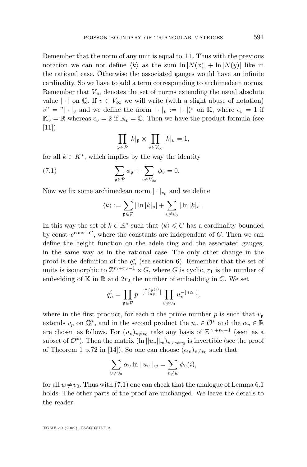Remember that the norm of any unit is equal to  $\pm 1$ . Thus with the previous notation we can not define  $\langle k \rangle$  as the sum  $\ln |N(x)| + \ln |N(y)|$  like in the rational case. Otherwise the associated gauges would have an infinite cardinality. So we have to add a term corresponding to archimedean norms. Remember that  $V_{\infty}$  denotes the set of norms extending the usual absolute value  $|\cdot|$  on  $\mathbb{Q}$ . If  $v \in V_{\infty}$  we will write (with a slight abuse of notation)  $v'' =$ " $|\cdot|_v$  and we define the norm  $|\cdot|_v := |\cdot|_v^{\epsilon_v}$  on K, where  $\epsilon_v = 1$  if  $\mathbb{K}_v = \mathbb{R}$  whereas  $\epsilon_v = 2$  if  $\mathbb{K}_v = \mathbb{C}$ . Then we have the product formula (see  $[11]$ 

$$
\prod_{\mathfrak{p}\in\mathcal{P}}|k|_{\mathfrak{p}}\times\prod_{v\in V_{\infty}}|k|_{v}=1,
$$

for all  $k \in K^*$ , which implies by the way the identity

(7.1) 
$$
\sum_{\mathfrak{p}\in\mathcal{P}} \phi_{\mathfrak{p}} + \sum_{v\in V_{\infty}} \phi_v = 0.
$$

Now we fix some archimedean norm  $|\cdot|_{v_0}$  and we define

$$
\langle k \rangle := \sum_{\mathfrak{p} \in \mathcal{P}} |\ln |k|_{\mathfrak{p}}| + \sum_{v \neq v_0} |\ln |k|_{v}|.
$$

In this way the set of  $k \in \mathbb{K}^*$  such that  $\langle k \rangle \leq C$  has a cardinality bounded by const  $e^{const \cdot C}$ , where the constants are independent of C. Then we can define the height function on the adele ring and the associated gauges, in the same way as in the rational case. The only other change in the proof is the definition of the  $q_n^i$  (see section [6\)](#page-12-0). Remember that the set of units is isomorphic to  $\mathbb{Z}^{r_1+r_2-1} \times G$ , where G is cyclic,  $r_1$  is the number of embedding of  $\mathbb K$  in  $\mathbb R$  and  $2r_2$  the number of embedding in  $\mathbb C$ . We set

$$
q_n^i = \prod_{\mathfrak{p} \in \mathcal{P}} p^{-\left[\frac{n\phi_{\mathfrak{p}}(i)}{\ln p}\right]} \prod_{v \neq v_0} u_v^{-\left[n\alpha_v\right]},
$$

where in the first product, for each **p** the prime number p is such that  $v_p$ extends  $v_p$  on  $\mathbb{Q}^*$ , and in the second product the  $u_v \in \mathcal{O}^*$  and the  $\alpha_v \in \mathbb{R}$ are chosen as follows. For  $(u_v)_{v\neq v_0}$  take any basis of  $\mathbb{Z}^{r_1+r_2-1}$  (seen as a subset of  $\mathcal{O}^*$ ). Then the matrix  $(\ln ||u_v||_w)_{v,w\neq v_0}$  is invertible (see the proof of Theorem 1 p.72 in [\[14\]](#page-19-0)). So one can choose  $(\alpha_v)_{v \neq v_0}$  such that

$$
\sum_{v \neq v_0} \alpha_v \ln ||u_v||_w = \sum_{v \neq w} \phi_v(i),
$$

for all  $w \neq v_0$ . Thus with (7.1) one can check that the analogue of Lemma [6.1](#page-12-0) holds. The other parts of the proof are unchanged. We leave the details to the reader.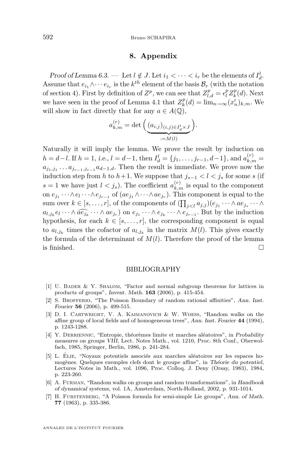#### **8. Appendix**

<span id="page-18-0"></span>*Proof of Lemma [6.3.](#page-14-0)* — Let  $l \notin J$ . Let  $i_1 < \cdots < i_r$  be the elements of  $I_d^l$ . Assume that  $e_{i_1} \wedge \cdots e_{i_r}$  is the  $k^{th}$  element of the basis  $\mathcal{B}_r$  (with the notation of section [4\)](#page-6-0). First by definition of  $Z^p$ , we can see that  $Z_{l,d}^p = \epsilon_l^p Z_k^p(d)$ . Next we have seen in the proof of Lemma [4.1](#page-7-0) that  $Z_k^p(d) = \lim_{n \to \infty} (x'_n)_{k,m}$ . We will show in fact directly that for any  $a \in A(\mathbb{O})$ ,

$$
a_{k,m}^{(r)} = \det \left( \underbrace{(a_{i,j})_{(i,j) \in I_d^l \times J}}_{:=M(l)} \right).
$$

Naturally it will imply the lemma. We prove the result by induction on  $h = d - l$ . If  $h = 1$ , *i.e.*,  $l = d - 1$ , then  $I_d^l = \{j_1, \ldots, j_{r-1}, d - 1\}$ , and  $a_{k,m}^{(r)} =$  $a_{j_1,j_1} \ldots a_{j_{r-1},j_{r-1}} a_{d-1,d}$ . Then the result is immediate. We prove now the induction step from h to h+1. We suppose that  $j_{s-1} < l < j_s$  for some s (if  $s = 1$  we have just  $l < j_s$ ). The coefficient  $a_{k,m}^{(r)}$  is equal to the component on  $e_{j_1} \cdots \wedge e_l \cdots \wedge e_{j_{r-1}}$  of  $(a e_{j_1} \wedge \cdots \wedge a e_{j_r})$ . This component is equal to the sum over  $k \in [s, \ldots, r]$ , of the components of  $(\prod_{j < l} a_{j,j})(e_{j_1} \cdots \wedge ae_{j_s} \cdots \wedge$  $a_{l,j_k}e_l \cdots \wedge \widehat{ae_{j_k}} \cdots \wedge ae_{j_r}$  on  $e_{j_1} \cdots \wedge e_{j_k} \cdots \wedge e_{j_{r-1}}$ . But by the induction hypothesis, for each  $k \in [s, \ldots, r]$ , the corresponding component is equal to  $a_{l,j_k}$  times the cofactor of  $a_{l,j_k}$  in the matrix  $M(l)$ . This gives exactly the formula of the determinant of  $M(l)$ . Therefore the proof of the lemma is finished.  $\Box$ 

#### BIBLIOGRAPHY

- [1] U. Bader & Y. Shalom, "Factor and normal subgroup theorems for lattices in products of groups", *Invent. Math.* **163** (2006), p. 415-454.
- [2] S. Brofferio, "The Poisson Boundary of random rational affinities", *Ann. Inst. Fourier* **56** (2006), p. 499-515.
- [3] D. I. Cartwright, V. A. Kaimanovich & W. Woess, "Random walks on the affine group of local fields and of homogeneous trees", *Ann. Inst. Fourier* **44** (1994), p. 1243-1288.
- [4] Y. Derriennic, "Entropie, théorèmes limite et marches aléatoires", in *Probability measures on groups VIII*, Lect. Notes Math., vol. 1210, Proc. 8th Conf., Oberwolfach, 1985, Springer, Berlin, 1986, p. 241-284.
- [5] L. Élie, "Noyaux potentiels associés aux marches aléatoires sur les espaces homogènes. Quelques exemples clefs dont le groupe affine", in *Théorie du potentiel*, Lectures Notes in Math., vol. 1096, Proc. Colloq. J. Deny (Orsay, 1983), 1984, p. 223-260.
- [6] A. Furman, "Random walks on groups and random transformations", in *Handbook of dynamical systems*, vol. 1A, Amsterdam, North-Holland, 2002, p. 931-1014.
- [7] H. Furstenberg, "A Poisson formula for semi-simple Lie groups", *Ann. of Math.* **77** (1963), p. 335-386.